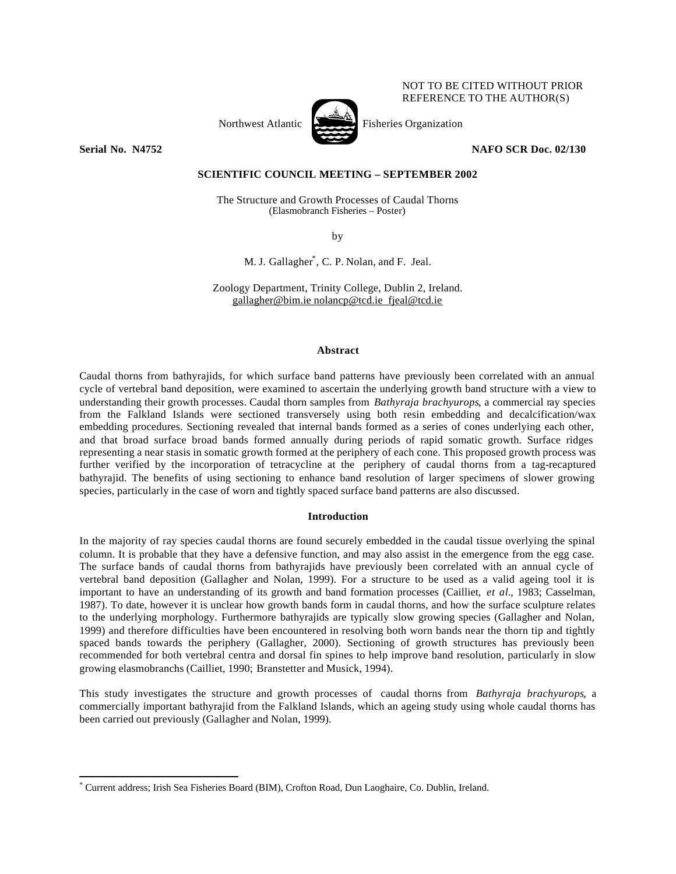# NOT TO BE CITED WITHOUT PRIOR REFERENCE TO THE AUTHOR(S)

Northwest Atlantic Fisheries Organization



**Serial No. N4752 NAFO SCR Doc. 02/130**

## **SCIENTIFIC COUNCIL MEETING – SEPTEMBER 2002**

The Structure and Growth Processes of Caudal Thorns (Elasmobranch Fisheries – Poster)

by

M. J. Gallagher\* , C. P. Nolan, and F. Jeal.

Zoology Department, Trinity College, Dublin 2, Ireland. gallagher@bim.ie nolancp@tcd.ie fjeal@tcd.ie

#### **Abstract**

Caudal thorns from bathyrajids, for which surface band patterns have previously been correlated with an annual cycle of vertebral band deposition, were examined to ascertain the underlying growth band structure with a view to understanding their growth processes. Caudal thorn samples from *Bathyraja brachyurops*, a commercial ray species from the Falkland Islands were sectioned transversely using both resin embedding and decalcification/wax embedding procedures. Sectioning revealed that internal bands formed as a series of cones underlying each other, and that broad surface broad bands formed annually during periods of rapid somatic growth. Surface ridges representing a near stasis in somatic growth formed at the periphery of each cone. This proposed growth process was further verified by the incorporation of tetracycline at the periphery of caudal thorns from a tag-recaptured bathyrajid. The benefits of using sectioning to enhance band resolution of larger specimens of slower growing species, particularly in the case of worn and tightly spaced surface band patterns are also discussed.

# **Introduction**

In the majority of ray species caudal thorns are found securely embedded in the caudal tissue overlying the spinal column. It is probable that they have a defensive function, and may also assist in the emergence from the egg case. The surface bands of caudal thorns from bathyrajids have previously been correlated with an annual cycle of vertebral band deposition (Gallagher and Nolan, 1999). For a structure to be used as a valid ageing tool it is important to have an understanding of its growth and band formation processes (Cailliet, *et al.*, 1983; Casselman, 1987). To date, however it is unclear how growth bands form in caudal thorns, and how the surface sculpture relates to the underlying morphology. Furthermore bathyrajids are typically slow growing species (Gallagher and Nolan, 1999) and therefore difficulties have been encountered in resolving both worn bands near the thorn tip and tightly spaced bands towards the periphery (Gallagher, 2000). Sectioning of growth structures has previously been recommended for both vertebral centra and dorsal fin spines to help improve band resolution, particularly in slow growing elasmobranchs (Cailliet, 1990; Branstetter and Musick, 1994).

This study investigates the structure and growth processes of caudal thorns from *Bathyraja brachyurops*, a commercially important bathyrajid from the Falkland Islands, which an ageing study using whole caudal thorns has been carried out previously (Gallagher and Nolan, 1999).

 $\overline{a}$ 

<sup>\*</sup> Current address; Irish Sea Fisheries Board (BIM), Crofton Road, Dun Laoghaire, Co. Dublin, Ireland.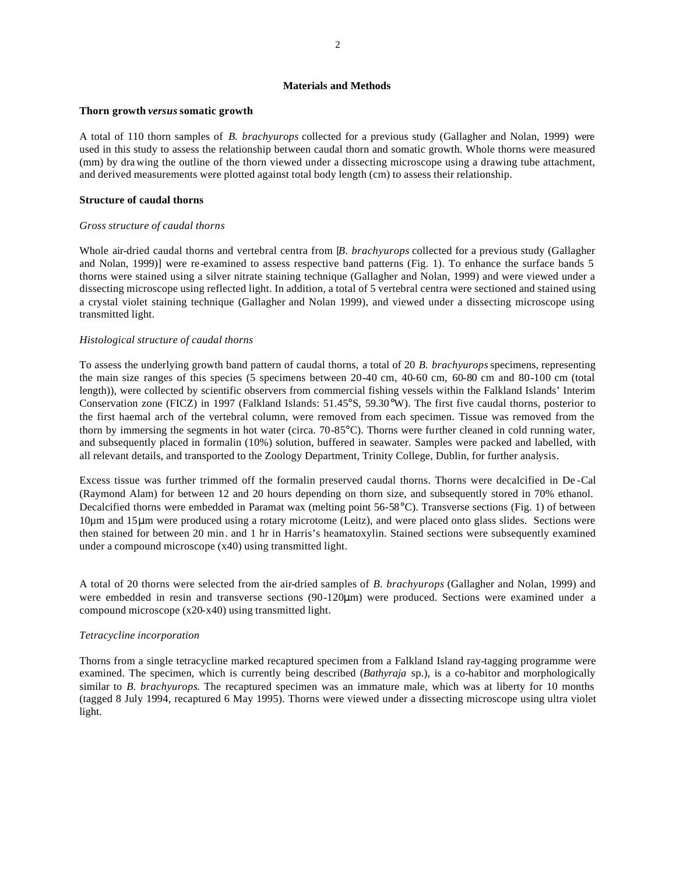# **Materials and Methods**

### **Thorn growth** *versus* **somatic growth**

A total of 110 thorn samples of *B. brachyurops* collected for a previous study (Gallagher and Nolan, 1999) were used in this study to assess the relationship between caudal thorn and somatic growth. Whole thorns were measured (mm) by dra wing the outline of the thorn viewed under a dissecting microscope using a drawing tube attachment, and derived measurements were plotted against total body length (cm) to assess their relationship.

## **Structure of caudal thorns**

## *Gross structure of caudal thorns*

Whole air-dried caudal thorns and vertebral centra from *[B. brachyurops* collected for a previous study (Gallagher and Nolan, 1999)] were re-examined to assess respective band patterns (Fig. 1). To enhance the surface bands 5 thorns were stained using a silver nitrate staining technique (Gallagher and Nolan, 1999) and were viewed under a dissecting microscope using reflected light. In addition, a total of 5 vertebral centra were sectioned and stained using a crystal violet staining technique (Gallagher and Nolan 1999), and viewed under a dissecting microscope using transmitted light.

# *Histological structure of caudal thorns*

To assess the underlying growth band pattern of caudal thorns, a total of 20 *B. brachyurops* specimens, representing the main size ranges of this species (5 specimens between 20-40 cm, 40-60 cm, 60-80 cm and 80-100 cm (total length)), were collected by scientific observers from commercial fishing vessels within the Falkland Islands' Interim Conservation zone (FICZ) in 1997 (Falkland Islands: 51.45°S, 59.30°W). The first five caudal thorns, posterior to the first haemal arch of the vertebral column, were removed from each specimen. Tissue was removed from the thorn by immersing the segments in hot water (circa. 70-85°C). Thorns were further cleaned in cold running water, and subsequently placed in formalin (10%) solution, buffered in seawater. Samples were packed and labelled, with all relevant details, and transported to the Zoology Department, Trinity College, Dublin, for further analysis.

Excess tissue was further trimmed off the formalin preserved caudal thorns. Thorns were decalcified in De -Cal (Raymond Alam) for between 12 and 20 hours depending on thorn size, and subsequently stored in 70% ethanol. Decalcified thorns were embedded in Paramat wax (melting point 56-58°C). Transverse sections (Fig. 1) of between 10µm and 15μm were produced using a rotary microtome (Leitz), and were placed onto glass slides. Sections were then stained for between 20 min. and 1 hr in Harris's heamatoxylin. Stained sections were subsequently examined under a compound microscope (x40) using transmitted light.

A total of 20 thorns were selected from the air-dried samples of *B. brachyurops* (Gallagher and Nolan, 1999) and were embedded in resin and transverse sections (90-120μm) were produced. Sections were examined under a compound microscope (x20-x40) using transmitted light.

# *Tetracycline incorporation*

Thorns from a single tetracycline marked recaptured specimen from a Falkland Island ray-tagging programme were examined. The specimen, which is currently being described (*Bathyraja* sp.), is a co-habitor and morphologically similar to *B. brachyurops*. The recaptured specimen was an immature male, which was at liberty for 10 months (tagged 8 July 1994, recaptured 6 May 1995). Thorns were viewed under a dissecting microscope using ultra violet light.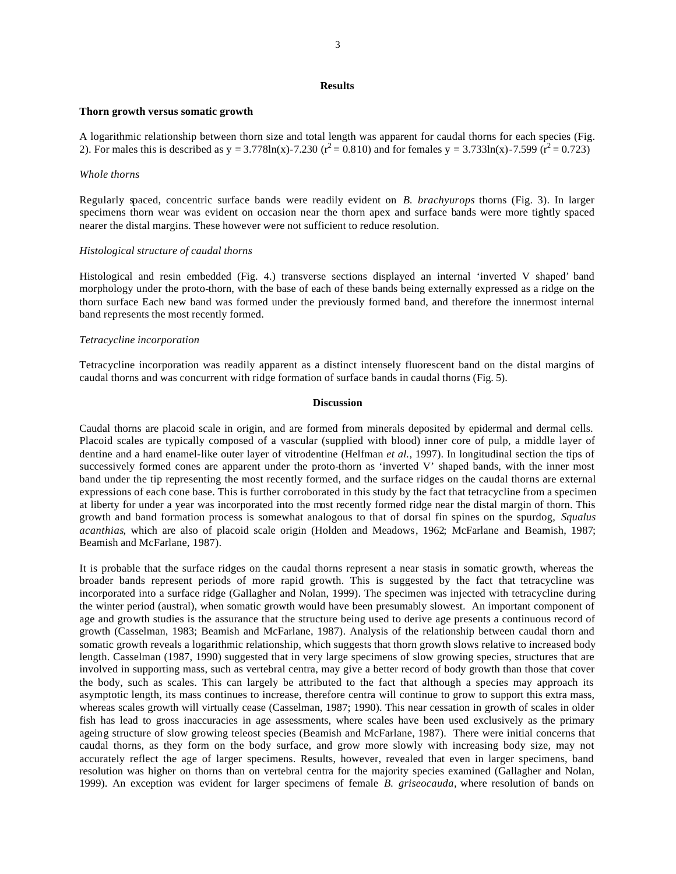### **Results**

#### **Thorn growth versus somatic growth**

A logarithmic relationship between thorn size and total length was apparent for caudal thorns for each species (Fig. 2). For males this is described as y = 3.778ln(x)-7.230 ( $r^2$  = 0.810) and for females y = 3.733ln(x)-7.599 ( $r^2$  = 0.723)

#### *Whole thorns*

Regularly spaced, concentric surface bands were readily evident on *B. brachyurops* thorns (Fig. 3). In larger specimens thorn wear was evident on occasion near the thorn apex and surface bands were more tightly spaced nearer the distal margins. These however were not sufficient to reduce resolution.

#### *Histological structure of caudal thorns*

Histological and resin embedded (Fig. 4.) transverse sections displayed an internal 'inverted V shaped' band morphology under the proto-thorn, with the base of each of these bands being externally expressed as a ridge on the thorn surface Each new band was formed under the previously formed band, and therefore the innermost internal band represents the most recently formed.

### *Tetracycline incorporation*

Tetracycline incorporation was readily apparent as a distinct intensely fluorescent band on the distal margins of caudal thorns and was concurrent with ridge formation of surface bands in caudal thorns (Fig. 5).

## **Discussion**

Caudal thorns are placoid scale in origin, and are formed from minerals deposited by epidermal and dermal cells. Placoid scales are typically composed of a vascular (supplied with blood) inner core of pulp, a middle layer of dentine and a hard enamel-like outer layer of vitrodentine (Helfman *et al.,* 1997). In longitudinal section the tips of successively formed cones are apparent under the proto-thorn as 'inverted V' shaped bands, with the inner most band under the tip representing the most recently formed, and the surface ridges on the caudal thorns are external expressions of each cone base. This is further corroborated in this study by the fact that tetracycline from a specimen at liberty for under a year was incorporated into the most recently formed ridge near the distal margin of thorn. This growth and band formation process is somewhat analogous to that of dorsal fin spines on the spurdog, *Squalus acanthias*, which are also of placoid scale origin (Holden and Meadows, 1962; McFarlane and Beamish, 1987; Beamish and McFarlane, 1987).

It is probable that the surface ridges on the caudal thorns represent a near stasis in somatic growth, whereas the broader bands represent periods of more rapid growth. This is suggested by the fact that tetracycline was incorporated into a surface ridge (Gallagher and Nolan, 1999). The specimen was injected with tetracycline during the winter period (austral), when somatic growth would have been presumably slowest. An important component of age and growth studies is the assurance that the structure being used to derive age presents a continuous record of growth (Casselman, 1983; Beamish and McFarlane, 1987). Analysis of the relationship between caudal thorn and somatic growth reveals a logarithmic relationship, which suggests that thorn growth slows relative to increased body length. Casselman (1987, 1990) suggested that in very large specimens of slow growing species, structures that are involved in supporting mass, such as vertebral centra, may give a better record of body growth than those that cover the body, such as scales. This can largely be attributed to the fact that although a species may approach its asymptotic length, its mass continues to increase, therefore centra will continue to grow to support this extra mass, whereas scales growth will virtually cease (Casselman, 1987; 1990). This near cessation in growth of scales in older fish has lead to gross inaccuracies in age assessments, where scales have been used exclusively as the primary ageing structure of slow growing teleost species (Beamish and McFarlane, 1987). There were initial concerns that caudal thorns, as they form on the body surface, and grow more slowly with increasing body size, may not accurately reflect the age of larger specimens. Results, however, revealed that even in larger specimens, band resolution was higher on thorns than on vertebral centra for the majority species examined (Gallagher and Nolan, 1999). An exception was evident for larger specimens of female *B. griseocauda,* where resolution of bands on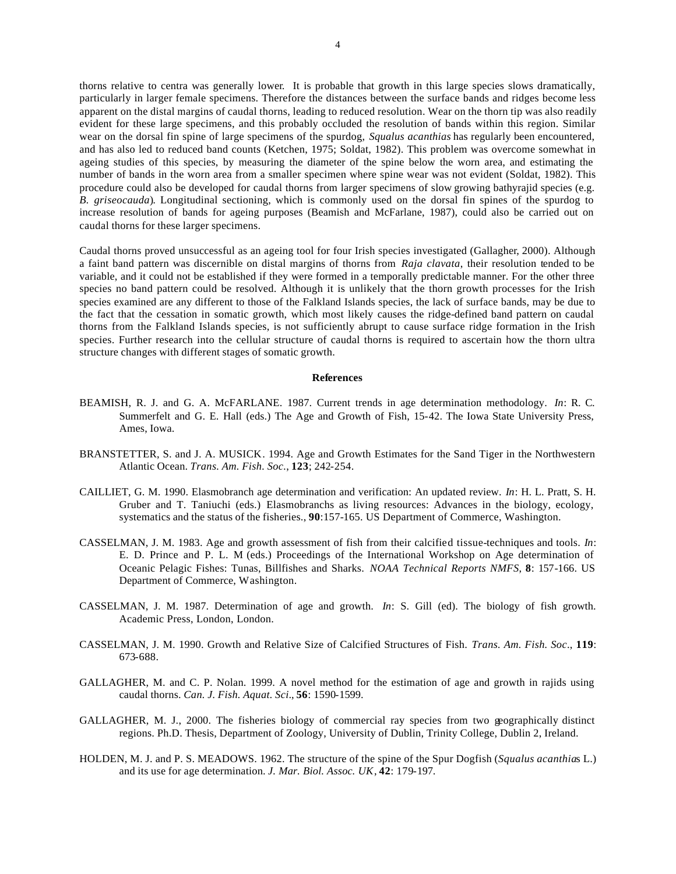thorns relative to centra was generally lower*.* It is probable that growth in this large species slows dramatically, particularly in larger female specimens. Therefore the distances between the surface bands and ridges become less apparent on the distal margins of caudal thorns, leading to reduced resolution. Wear on the thorn tip was also readily evident for these large specimens, and this probably occluded the resolution of bands within this region. Similar wear on the dorsal fin spine of large specimens of the spurdog, *Squalus acanthias* has regularly been encountered, and has also led to reduced band counts (Ketchen, 1975; Soldat, 1982). This problem was overcome somewhat in ageing studies of this species, by measuring the diameter of the spine below the worn area, and estimating the number of bands in the worn area from a smaller specimen where spine wear was not evident (Soldat, 1982). This procedure could also be developed for caudal thorns from larger specimens of slow growing bathyrajid species (e.g. *B. griseocauda*)*.* Longitudinal sectioning, which is commonly used on the dorsal fin spines of the spurdog to increase resolution of bands for ageing purposes (Beamish and McFarlane, 1987), could also be carried out on caudal thorns for these larger specimens.

Caudal thorns proved unsuccessful as an ageing tool for four Irish species investigated (Gallagher, 2000). Although a faint band pattern was discernible on distal margins of thorns from *Raja clavata*, their resolution tended to be variable, and it could not be established if they were formed in a temporally predictable manner. For the other three species no band pattern could be resolved. Although it is unlikely that the thorn growth processes for the Irish species examined are any different to those of the Falkland Islands species, the lack of surface bands, may be due to the fact that the cessation in somatic growth, which most likely causes the ridge-defined band pattern on caudal thorns from the Falkland Islands species, is not sufficiently abrupt to cause surface ridge formation in the Irish species. Further research into the cellular structure of caudal thorns is required to ascertain how the thorn ultra structure changes with different stages of somatic growth.

#### **References**

- BEAMISH, R. J. and G. A. McFARLANE. 1987. Current trends in age determination methodology. *In*: R. C. Summerfelt and G. E. Hall (eds.) The Age and Growth of Fish, 15-42. The Iowa State University Press, Ames, Iowa.
- BRANSTETTER, S. and J. A. MUSICK. 1994. Age and Growth Estimates for the Sand Tiger in the Northwestern Atlantic Ocean. *Trans. Am. Fish. Soc.*, **123**; 242-254.
- CAILLIET, G. M. 1990. Elasmobranch age determination and verification: An updated review. *In*: H. L. Pratt, S. H. Gruber and T. Taniuchi (eds.) Elasmobranchs as living resources: Advances in the biology, ecology, systematics and the status of the fisheries., **90**:157-165. US Department of Commerce, Washington.
- CASSELMAN, J. M. 1983. Age and growth assessment of fish from their calcified tissue-techniques and tools. *In*: E. D. Prince and P. L. M (eds.) Proceedings of the International Workshop on Age determination of Oceanic Pelagic Fishes: Tunas, Billfishes and Sharks. *NOAA Technical Reports NMFS*, **8**: 157-166. US Department of Commerce, Washington.
- CASSELMAN, J. M. 1987. Determination of age and growth. *In*: S. Gill (ed). The biology of fish growth. Academic Press, London, London.
- CASSELMAN, J. M. 1990. Growth and Relative Size of Calcified Structures of Fish. *Trans. Am. Fish. Soc*., **119**: 673-688.
- GALLAGHER, M. and C. P. Nolan. 1999. A novel method for the estimation of age and growth in rajids using caudal thorns. *Can. J. Fish. Aquat. Sci*., **56**: 1590-1599.
- GALLAGHER, M. J., 2000. The fisheries biology of commercial ray species from two geographically distinct regions. Ph.D. Thesis, Department of Zoology, University of Dublin, Trinity College, Dublin 2, Ireland.
- HOLDEN, M. J. and P. S. MEADOWS. 1962. The structure of the spine of the Spur Dogfish (*Squalus acanthia*s L.) and its use for age determination. *J. Mar. Biol. Assoc. UK*, **42**: 179-197.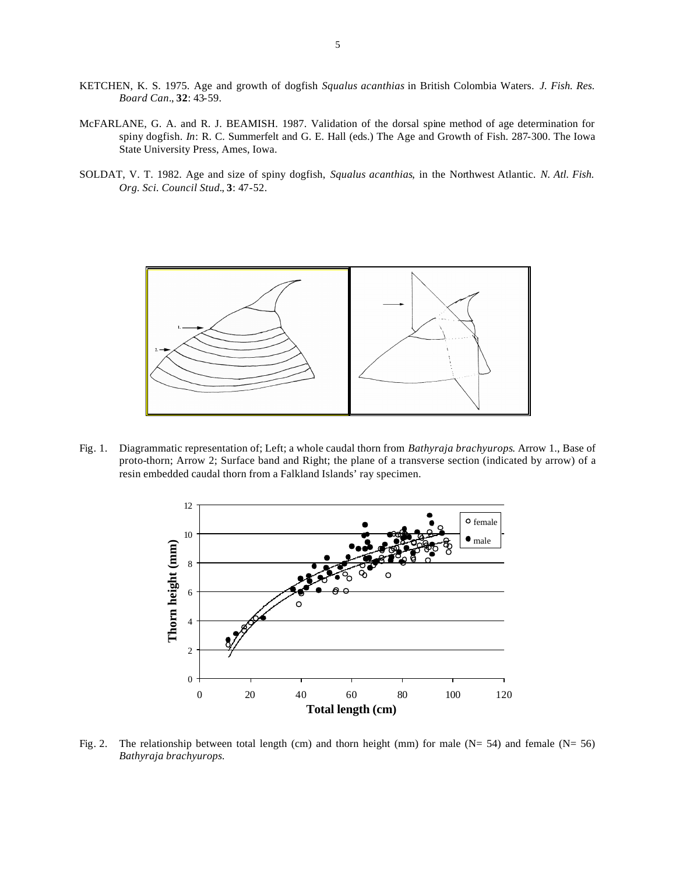- KETCHEN, K. S. 1975. Age and growth of dogfish *Squalus acanthias* in British Colombia Waters. *J. Fish. Res. Board Can.*, **32**: 43-59.
- McFARLANE, G. A. and R. J. BEAMISH. 1987. Validation of the dorsal spine method of age determination for spiny dogfish. *In*: R. C. Summerfelt and G. E. Hall (eds.) The Age and Growth of Fish. 287-300. The Iowa State University Press, Ames, Iowa.
- SOLDAT, V. T. 1982. Age and size of spiny dogfish, *Squalus acanthias*, in the Northwest Atlantic. *N. Atl. Fish. Org. Sci. Council Stud.*, **3**: 47-52.



Fig. 1. Diagrammatic representation of; Left; a whole caudal thorn from *Bathyraja brachyurops*. Arrow 1., Base of proto-thorn; Arrow 2; Surface band and Right; the plane of a transverse section (indicated by arrow) of a resin embedded caudal thorn from a Falkland Islands' ray specimen.



Fig. 2. The relationship between total length (cm) and thorn height (mm) for male ( $N= 54$ ) and female ( $N= 56$ ) *Bathyraja brachyurops.*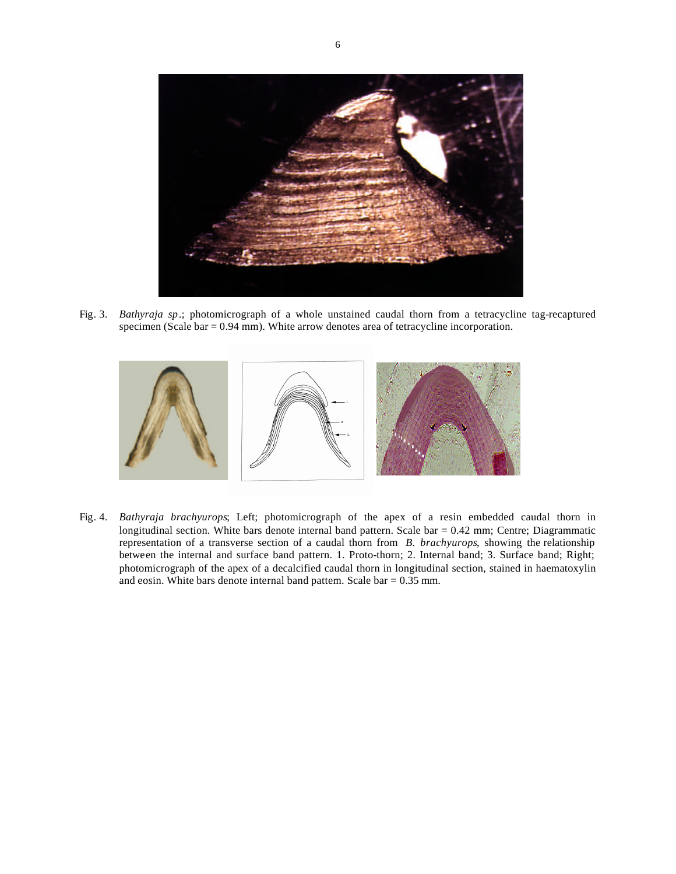

Fig. 3. *Bathyraja sp*.; photomicrograph of a whole unstained caudal thorn from a tetracycline tag-recaptured specimen (Scale bar = 0.94 mm). White arrow denotes area of tetracycline incorporation.



Fig. 4. *Bathyraja brachyurops*; Left; photomicrograph of the apex of a resin embedded caudal thorn in longitudinal section. White bars denote internal band pattern. Scale bar  $= 0.42$  mm; Centre; Diagrammatic representation of a transverse section of a caudal thorn from *B. brachyurops*, showing the relationship between the internal and surface band pattern. 1. Proto-thorn; 2. Internal band; 3. Surface band; Right; photomicrograph of the apex of a decalcified caudal thorn in longitudinal section, stained in haematoxylin and eosin. White bars denote internal band pattern. Scale bar = 0.35 mm.